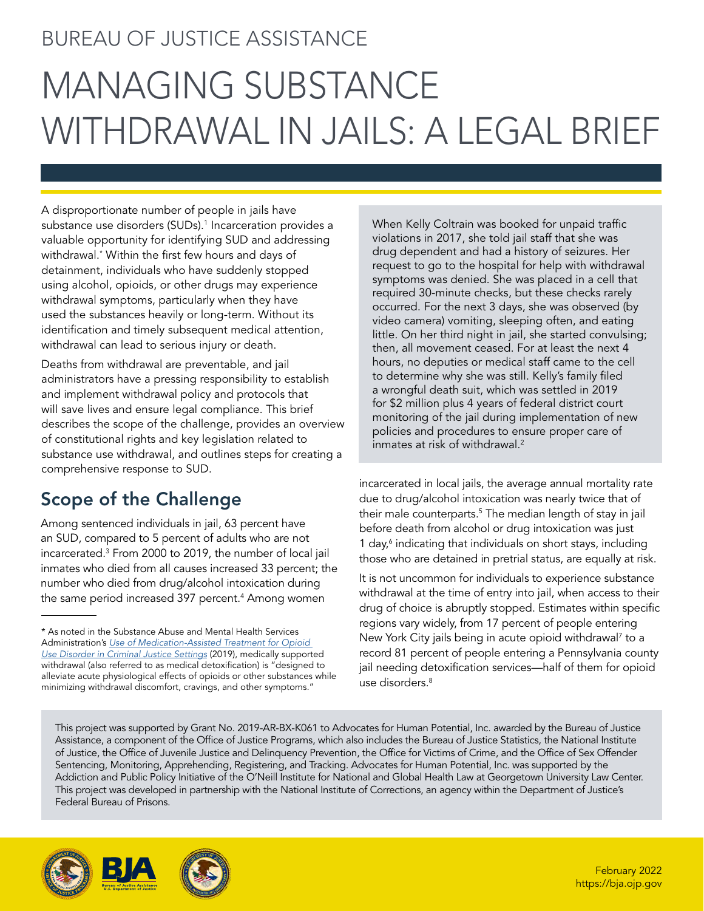# BUREAU OF JUSTICE ASSISTANCE

# MANAGING SUBSTANCE WITHDRAWAL IN JAILS: A LEGAL BRIEF

A disproportionate number of people in jails have substance use disorders (SUDs).<sup>[1](#page-7-0)</sup> Incarceration provides a valuable opportunity for identifying SUD and addressing withdrawal.\* Within the first few hours and days of detainment, individuals who have suddenly stopped using alcohol, opioids, or other drugs may experience withdrawal symptoms, particularly when they have used the substances heavily or long-term. Without its identification and timely subsequent medical attention, withdrawal can lead to serious injury or death.

Deaths from withdrawal are preventable, and jail administrators have a pressing responsibility to establish and implement withdrawal policy and protocols that will save lives and ensure legal compliance. This brief describes the scope of the challenge, provides an overview of constitutional rights and key legislation related to substance use withdrawal, and outlines steps for creating a comprehensive response to SUD.

## Scope of the Challenge

Among sentenced individuals in jail, 63 percent have an SUD, compared to 5 percent of adults who are not incarcerated.3 From 2000 to 2019, the number of local jail inmates who died from all causes increased 33 percent; the number who died from drug/alcohol intoxication during the same period increased 397 percent.<sup>4</sup> Among women

When Kelly Coltrain was booked for unpaid traffic violations in 2017, she told jail staff that she was drug dependent and had a history of seizures. Her request to go to the hospital for help with withdrawal symptoms was denied. She was placed in a cell that required 30-minute checks, but these checks rarely occurred. For the next 3 days, she was observed (by video camera) vomiting, sleeping often, and eating little. On her third night in jail, she started convulsing; then, all movement ceased. For at least the next 4 hours, no deputies or medical staff came to the cell to determine why she was still. Kelly's family filed a wrongful death suit, which was settled in 2019 for \$2 million plus 4 years of federal district court monitoring of the jail during implementation of new policies and procedures to ensure proper care of inmates at risk of withdrawal.2

incarcerated in local jails, the average annual mortality rate due to drug/alcohol intoxication was nearly twice that of their male counterparts.5 The median length of stay in jail before death from alcohol or drug intoxication was just 1 day,<sup>6</sup> indicating that individuals on short stays, including those who are detained in pretrial status, are equally at risk.

It is not uncommon for individuals to experience substance withdrawal at the time of entry into jail, when access to their drug of choice is abruptly stopped. Estimates within specific regions vary widely, from 17 percent of people entering New York City jails being in acute opioid withdrawal7 to a record 81 percent of people entering a Pennsylvania county jail needing detoxification services—half of them for opioid use disorders.<sup>8</sup>

This project was supported by Grant No. 2019-AR-BX-K061 to Advocates for Human Potential, Inc. awarded by the Bureau of Justice Assistance, a component of the Office of Justice Programs, which also includes the Bureau of Justice Statistics, the National Institute of Justice, the Office of Juvenile Justice and Delinquency Prevention, the Office for Victims of Crime, and the Office of Sex Offender Sentencing, Monitoring, Apprehending, Registering, and Tracking. Advocates for Human Potential, Inc. was supported by the Addiction and Public Policy Initiative of the O'Neill Institute for National and Global Health Law at Georgetown University Law Center. This project was developed in partnership with the National Institute of Corrections, an agency within the Department of Justice's Federal Bureau of Prisons.



<sup>\*</sup> As noted in the Substance Abuse and Mental Health Services Administration's *[Use of Medication-Assisted Treatment for Opioid](https://store.samhsa.gov/sites/default/files/d7/priv/pep19-matusecjs.pdf) [Use Disorder in Criminal Justice Settings](https://store.samhsa.gov/sites/default/files/d7/priv/pep19-matusecjs.pdf)* (2019), medically supported withdrawal (also referred to as medical detoxification) is "designed to alleviate acute physiological effects of opioids or other substances while minimizing withdrawal discomfort, cravings, and other symptoms."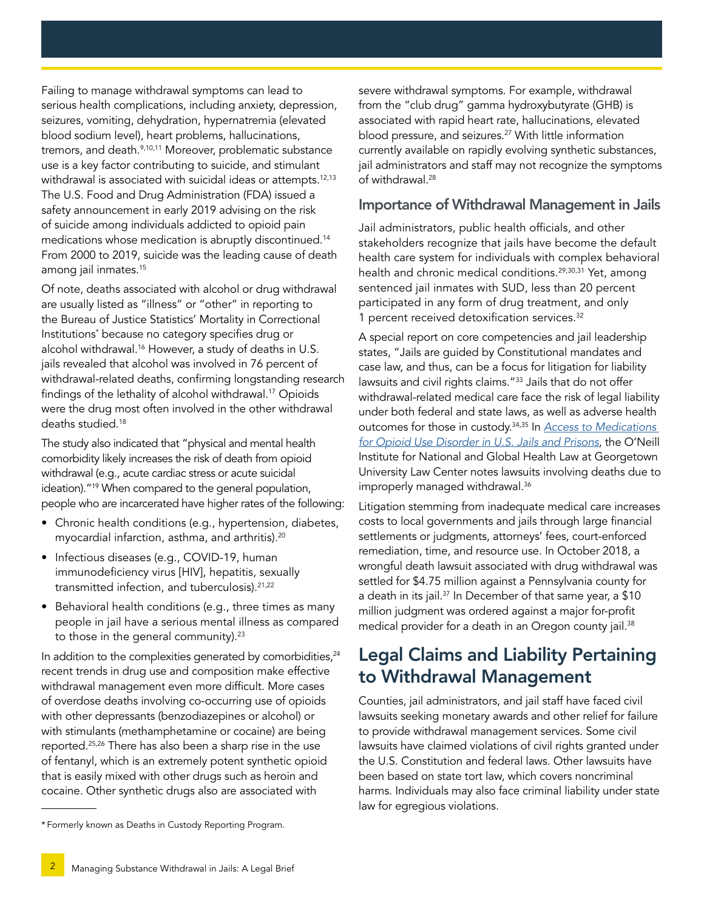Failing to manage withdrawal symptoms can lead to serious health complications, including anxiety, depression, seizures, vomiting, dehydration, hypernatremia (elevated blood sodium level), heart problems, hallucinations, tremors, and death.<sup>9,10,11</sup> Moreover, problematic substance use is a key factor contributing to suicide, and stimulant withdrawal is associated with suicidal ideas or attempts.<sup>12,13</sup> The U.S. Food and Drug Administration (FDA) issued a safety announcement in early 2019 advising on the risk of suicide among individuals addicted to opioid pain medications whose medication is abruptly discontinued.14 From 2000 to 2019, suicide was the leading cause of death among jail inmates.15

Of note, deaths associated with alcohol or drug withdrawal are usually listed as "illness" or "other" in reporting to the Bureau of Justice Statistics' Mortality in Correctional Institutions\* because no category specifies drug or alcohol withdrawal.16 However, a study of deaths in U.S. jails revealed that alcohol was involved in 76 percent of withdrawal-related deaths, confirming longstanding research findings of the lethality of alcohol withdrawal.17 Opioids were the drug most often involved in the other withdrawal deaths studied.<sup>18</sup>

The study also indicated that "physical and mental health comorbidity likely increases the risk of death from opioid withdrawal (e.g., acute cardiac stress or acute suicidal ideation)."19 When compared to the general population, people who are incarcerated have higher rates of the following:

- Chronic health conditions (e.g., hypertension, diabetes, myocardial infarction, asthma, and arthritis).20
- Infectious diseases (e.g., COVID-19, human immunodeficiency virus [HIV], hepatitis, sexually transmitted infection, and tuberculosis).21,22
- Behavioral health conditions (e.g., three times as many people in jail have a serious mental illness as compared to those in the general community).<sup>23</sup>

In addition to the complexities generated by comorbidities,<sup>24</sup> recent trends in drug use and composition make effective withdrawal management even more difficult. More cases of overdose deaths involving co-occurring use of opioids with other depressants (benzodiazepines or alcohol) or with stimulants (methamphetamine or cocaine) are being reported.25,26 There has also been a sharp rise in the use of fentanyl, which is an extremely potent synthetic opioid that is easily mixed with other drugs such as heroin and cocaine. Other synthetic drugs also are associated with

severe withdrawal symptoms. For example, withdrawal from the "club drug" gamma hydroxybutyrate (GHB) is associated with rapid heart rate, hallucinations, elevated blood pressure, and seizures.<sup>27</sup> With little information currently available on rapidly evolving synthetic substances, jail administrators and staff may not recognize the symptoms of withdrawal.28

#### Importance of Withdrawal Management in Jails

Jail administrators, public health officials, and other stakeholders recognize that jails have become the default health care system for individuals with complex behavioral health and chronic medical conditions.<sup>29,30,31</sup> Yet, among sentenced jail inmates with SUD, less than 20 percent participated in any form of drug treatment, and only 1 percent received detoxification services.32

A special report on core competencies and jail leadership states, "Jails are guided by Constitutional mandates and case law, and thus, can be a focus for litigation for liability lawsuits and civil rights claims."33 Jails that do not offer withdrawal-related medical care face the risk of legal liability under both federal and state laws, as well as adverse health outcomes for those in custody.34,35 In *[Access to Medications](https://oneill.law.georgetown.edu/wp-content/uploads/2021/07/National-Snapshot-Access-to-Medications-for-Opioid-Use-Disorder-in-U.S.-Jails-and-Prisons.pdf)  [for Opioid Use Disorder in U.S. Jails and Prisons](https://oneill.law.georgetown.edu/wp-content/uploads/2021/07/National-Snapshot-Access-to-Medications-for-Opioid-Use-Disorder-in-U.S.-Jails-and-Prisons.pdf)*, the O'Neill Institute for National and Global Health Law at Georgetown University Law Center notes lawsuits involving deaths due to improperly managed withdrawal.36

Litigation stemming from inadequate medical care increases costs to local governments and jails through large financial settlements or judgments, attorneys' fees, court-enforced remediation, time, and resource use. In October 2018, a wrongful death lawsuit associated with drug withdrawal was settled for \$4.75 million against a Pennsylvania county for a death in its jail.<sup>37</sup> In December of that same year, a \$10 million judgment was ordered against a major for-profit medical provider for a death in an Oregon county jail.<sup>38</sup>

## Legal Claims and Liability Pertaining to Withdrawal Management

Counties, jail administrators, and jail staff have faced civil lawsuits seeking monetary awards and other relief for failure to provide withdrawal management services. Some civil lawsuits have claimed violations of civil rights granted under the U.S. Constitution and federal laws. Other lawsuits have been based on state tort law, which covers noncriminal harms. Individuals may also face criminal liability under state law for egregious violations.

<sup>\*</sup> Formerly known as Deaths in Custody Reporting Program.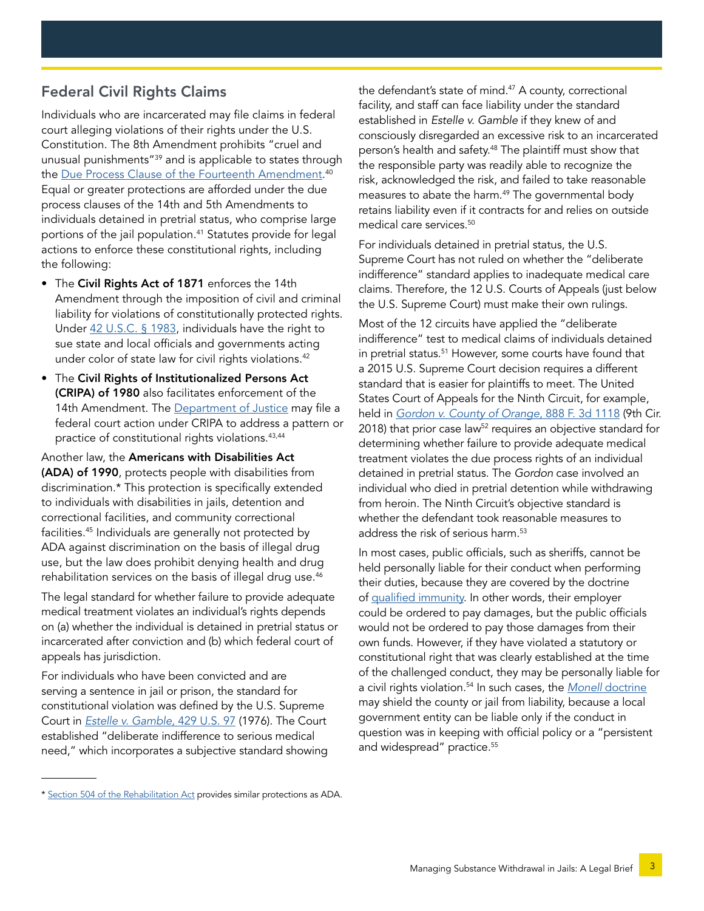#### Federal Civil Rights Claims

Individuals who are incarcerated may file claims in federal court alleging violations of their rights under the U.S. Constitution. The 8th Amendment prohibits "cruel and unusual punishments"39 and is applicable to states through the [Due Process Clause of the Fourteenth Amendment](https://constitutioncenter.org/interactive-constitution/interpretation/amendment-xiv/clauses/701). 40 Equal or greater protections are afforded under the due process clauses of the 14th and 5th Amendments to individuals detained in pretrial status, who comprise large portions of the jail population.<sup>41</sup> Statutes provide for legal actions to enforce these constitutional rights, including the following:

- The Civil Rights Act of 1871 enforces the 14th Amendment through the imposition of civil and criminal liability for violations of constitutionally protected rights. Under [42 U.S.C. § 1983](https://www.law.cornell.edu/uscode/text/42/1983), individuals have the right to sue state and local officials and governments acting under color of state law for civil rights violations.<sup>42</sup>
- The Civil Rights of Institutionalized Persons Act (CRIPA) of 1980 also facilitates enforcement of the 14th Amendment. The [Department of Justice](https://www.justice.gov/crt/rights-persons-confined-jails-and-prisons) may file a federal court action under CRIPA to address a pattern or practice of constitutional rights violations.<sup>43,44</sup>

Another law, the Americans with Disabilities Act (ADA) of 1990, protects people with disabilities from discrimination.\* This protection is specifically extended to individuals with disabilities in jails, detention and correctional facilities, and community correctional facilities.45 Individuals are generally not protected by ADA against discrimination on the basis of illegal drug use, but the law does prohibit denying health and drug rehabilitation services on the basis of illegal drug use.<sup>46</sup>

The legal standard for whether failure to provide adequate medical treatment violates an individual's rights depends on (a) whether the individual is detained in pretrial status or incarcerated after conviction and (b) which federal court of appeals has jurisdiction.

For individuals who have been convicted and are serving a sentence in jail or prison, the standard for constitutional violation was defined by the U.S. Supreme Court in *[Estelle v. Gamble,](https://www.law.cornell.edu/supremecourt/text/429/97)* 429 U.S. 97 (1976). The Court established "deliberate indifference to serious medical need," which incorporates a subjective standard showing

the defendant's state of mind.<sup>47</sup> A county, correctional facility, and staff can face liability under the standard established in *Estelle v. Gamble* if they knew of and consciously disregarded an excessive risk to an incarcerated person's health and safety.<sup>48</sup> The plaintiff must show that the responsible party was readily able to recognize the risk, acknowledged the risk, and failed to take reasonable measures to abate the harm.<sup>49</sup> The governmental body retains liability even if it contracts for and relies on outside medical care services.<sup>50</sup>

For individuals detained in pretrial status, the U.S. Supreme Court has not ruled on whether the "deliberate indifference" standard applies to inadequate medical care claims. Therefore, the 12 U.S. Courts of Appeals (just below the U.S. Supreme Court) must make their own rulings.

Most of the 12 circuits have applied the "deliberate indifference" test to medical claims of individuals detained in pretrial status.<sup>51</sup> However, some courts have found that a 2015 U.S. Supreme Court decision requires a different standard that is easier for plaintiffs to meet. The United States Court of Appeals for the Ninth Circuit, for example, held in *[Gordon v. County of Orange](http://cdn.ca9.uscourts.gov/datastore/opinions/2018/04/30/16-56005.pdf)*, 888 F. 3d 1118 (9th Cir. 2018) that prior case law<sup>52</sup> requires an objective standard for determining whether failure to provide adequate medical treatment violates the due process rights of an individual detained in pretrial status. The *Gordon* case involved an individual who died in pretrial detention while withdrawing from heroin. The Ninth Circuit's objective standard is whether the defendant took reasonable measures to address the risk of serious harm.<sup>53</sup>

In most cases, public officials, such as sheriffs, cannot be held personally liable for their conduct when performing their duties, because they are covered by the doctrine of [qualified immunity](https://www.law.cornell.edu/wex/qualified_immunity). In other words, their employer could be ordered to pay damages, but the public officials would not be ordered to pay those damages from their own funds. However, if they have violated a statutory or constitutional right that was clearly established at the time of the challenged conduct, they may be personally liable for a civil rights violation.54 In such cases, the *Monell* [doctrine](https://www.law.cornell.edu/supremecourt/text/436/658) may shield the county or jail from liability, because a local government entity can be liable only if the conduct in question was in keeping with official policy or a "persistent and widespread" practice.<sup>55</sup>

<sup>\*</sup> [Section 504 of the Rehabilitation Act](https://www.hhs.gov/sites/default/files/ocr/civilrights/resources/factsheets/504.pdf) provides similar protections as ADA.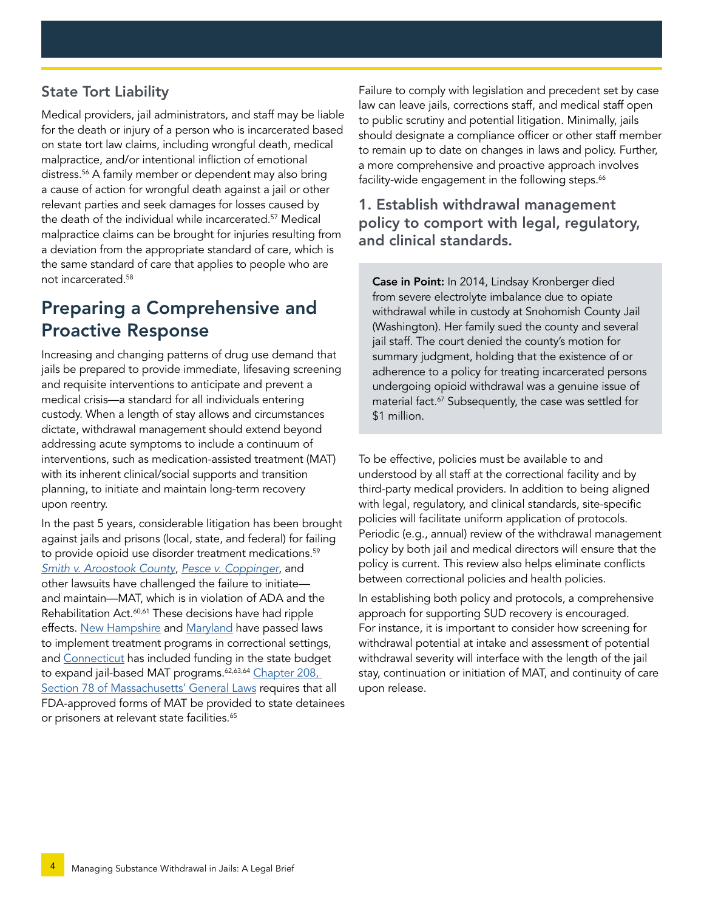#### State Tort Liability

Medical providers, jail administrators, and staff may be liable for the death or injury of a person who is incarcerated based on state tort law claims, including wrongful death, medical malpractice, and/or intentional infliction of emotional distress.56 A family member or dependent may also bring a cause of action for wrongful death against a jail or other relevant parties and seek damages for losses caused by the death of the individual while incarcerated.57 Medical malpractice claims can be brought for injuries resulting from a deviation from the appropriate standard of care, which is the same standard of care that applies to people who are not incarcerated.58

## Preparing a Comprehensive and Proactive Response

Increasing and changing patterns of drug use demand that jails be prepared to provide immediate, lifesaving screening and requisite interventions to anticipate and prevent a medical crisis—a standard for all individuals entering custody. When a length of stay allows and circumstances dictate, withdrawal management should extend beyond addressing acute symptoms to include a continuum of interventions, such as medication-assisted treatment (MAT) with its inherent clinical/social supports and transition planning, to initiate and maintain long-term recovery upon reentry.

In the past 5 years, considerable litigation has been brought against jails and prisons (local, state, and federal) for failing to provide opioid use disorder treatment medications.<sup>59</sup> *[Smith v. Aroostook County](https://www.npr.org/sections/health-shots/2019/05/04/719805278/setting-precedent-a-federal-court-rules-jail-must-give-inmate-addiction-treatmen)*, *[Pesce v. Coppinger](https://bostonbarjournal.com/tag/pesce-v-coppinger/)*, and other lawsuits have challenged the failure to initiate and maintain—MAT, which is in violation of ADA and the Rehabilitation Act.<sup>60,61</sup> These decisions have had ripple effects. [New Hampshire](https://www.unionleader.com/news/health/new-law-mandates-medication-assisted-treatment-in-jails/article_bbb2728a-9a25-530e-bdf7-306de5f5b9b1.html) and [Maryland](https://mgaleg.maryland.gov/mgawebsite/Legislation/Details/HB0116?ys=2019rs) have passed laws to implement treatment programs in correctional settings, and [Connecticut](https://www.middletownpress.com/middletown/article/Funding-to-help-CT-prisons-improve-opioid-14069347.php) has included funding in the state budget to expand jail-based MAT programs.<sup>62,63,64</sup> Chapter 208, [Section 78 of Massachusetts' General Laws](https://malegislature.gov/Laws/SessionLaws/Acts/2018/Chapter208) requires that all FDA-approved forms of MAT be provided to state detainees or prisoners at relevant state facilities.<sup>65</sup>

Failure to comply with legislation and precedent set by case law can leave jails, corrections staff, and medical staff open to public scrutiny and potential litigation. Minimally, jails should designate a compliance officer or other staff member to remain up to date on changes in laws and policy. Further, a more comprehensive and proactive approach involves facility-wide engagement in the following steps.<sup>66</sup>

#### 1. Establish withdrawal management policy to comport with legal, regulatory, and clinical standards.

Case in Point: In 2014, Lindsay Kronberger died from severe electrolyte imbalance due to opiate withdrawal while in custody at Snohomish County Jail (Washington). Her family sued the county and several jail staff. The court denied the county's motion for summary judgment, holding that the existence of or adherence to a policy for treating incarcerated persons undergoing opioid withdrawal was a genuine issue of material fact.<sup>67</sup> Subsequently, the case was settled for \$1 million.

To be effective, policies must be available to and understood by all staff at the correctional facility and by third-party medical providers. In addition to being aligned with legal, regulatory, and clinical standards, site-specific policies will facilitate uniform application of protocols. Periodic (e.g., annual) review of the withdrawal management policy by both jail and medical directors will ensure that the policy is current. This review also helps eliminate conflicts between correctional policies and health policies.

In establishing both policy and protocols, a comprehensive approach for supporting SUD recovery is encouraged. For instance, it is important to consider how screening for withdrawal potential at intake and assessment of potential withdrawal severity will interface with the length of the jail stay, continuation or initiation of MAT, and continuity of care upon release.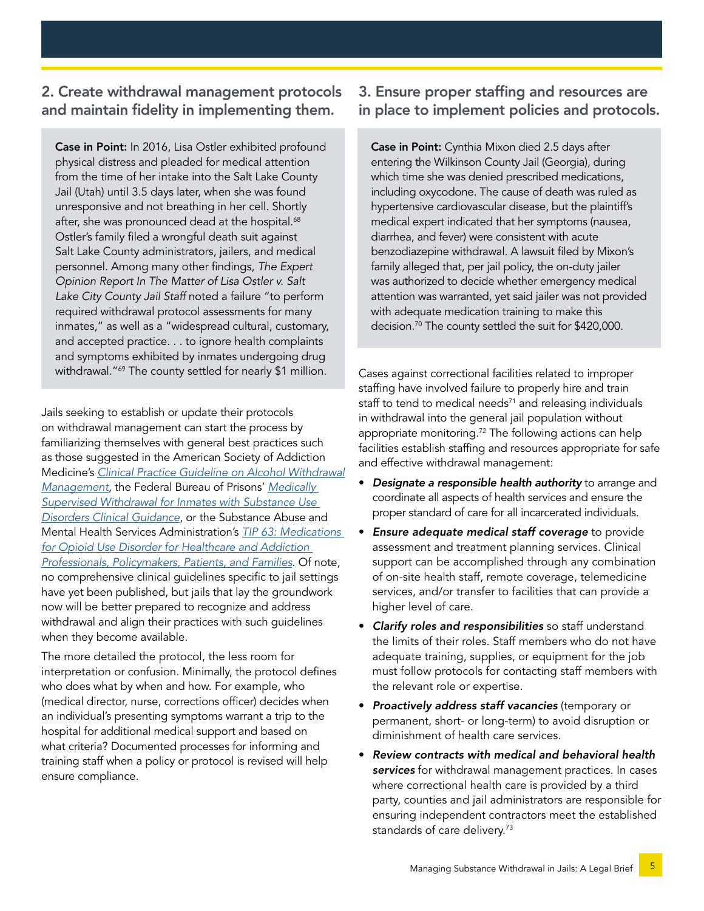#### 2. Create withdrawal management protocols and maintain fidelity in implementing them.

Case in Point: In 2016, Lisa Ostler exhibited profound physical distress and pleaded for medical attention from the time of her intake into the Salt Lake County Jail (Utah) until 3.5 days later, when she was found unresponsive and not breathing in her cell. Shortly after, she was pronounced dead at the hospital.<sup>68</sup> Ostler's family filed a wrongful death suit against Salt Lake County administrators, jailers, and medical personnel. Among many other findings, *The Expert Opinion Report In The Matter of Lisa Ostler v. Salt Lake City County Jail Staff* noted a failure "to perform required withdrawal protocol assessments for many inmates," as well as a "widespread cultural, customary, and accepted practice. . . to ignore health complaints and symptoms exhibited by inmates undergoing drug withdrawal."<sup>69</sup> The county settled for nearly \$1 million.

Jails seeking to establish or update their protocols on withdrawal management can start the process by familiarizing themselves with general best practices such as those suggested in the American Society of Addiction Medicine's *[Clinical Practice Guideline on Alcohol Withdrawal](https://www.asam.org/Quality-Science/quality/guideline-on-alcohol-withdrawal-management) [Management](https://www.asam.org/Quality-Science/quality/guideline-on-alcohol-withdrawal-management)*, the Federal Bureau of Prisons' *[Medically](https://www.bop.gov/resources/pdfs/medically_supervised_withdrawal_cg.pdf)  [Supervised Withdrawal for Inmates with Substance Use](https://www.bop.gov/resources/pdfs/medically_supervised_withdrawal_cg.pdf)  [Disorders Clinical Guidance](https://www.bop.gov/resources/pdfs/medically_supervised_withdrawal_cg.pdf)*, or the Substance Abuse and Mental Health Services Administration's *[TIP 63: Medications](https://store.samhsa.gov/product/TIP-63-Medications-for-Opioid-Use-Disorder-Full-Document/PEP20-02-01-006)  [for Opioid Use Disorder for Healthcare and Addiction](https://store.samhsa.gov/product/TIP-63-Medications-for-Opioid-Use-Disorder-Full-Document/PEP20-02-01-006)  [Professionals, Policymakers, Patients, and Families](https://store.samhsa.gov/product/TIP-63-Medications-for-Opioid-Use-Disorder-Full-Document/PEP20-02-01-006)*. Of note, no comprehensive clinical guidelines specific to jail settings have yet been published, but jails that lay the groundwork now will be better prepared to recognize and address withdrawal and align their practices with such guidelines when they become available.

The more detailed the protocol, the less room for interpretation or confusion. Minimally, the protocol defines who does what by when and how. For example, who (medical director, nurse, corrections officer) decides when an individual's presenting symptoms warrant a trip to the hospital for additional medical support and based on what criteria? Documented processes for informing and training staff when a policy or protocol is revised will help ensure compliance.

#### 3. Ensure proper staffing and resources are in place to implement policies and protocols.

Case in Point: Cynthia Mixon died 2.5 days after entering the Wilkinson County Jail (Georgia), during which time she was denied prescribed medications, including oxycodone. The cause of death was ruled as hypertensive cardiovascular disease, but the plaintiff's medical expert indicated that her symptoms (nausea, diarrhea, and fever) were consistent with acute benzodiazepine withdrawal. A lawsuit filed by Mixon's family alleged that, per jail policy, the on-duty jailer was authorized to decide whether emergency medical attention was warranted, yet said jailer was not provided with adequate medication training to make this decision.<sup>70</sup> The county settled the suit for \$420,000.

Cases against correctional facilities related to improper staffing have involved failure to properly hire and train staff to tend to medical needs $71$  and releasing individuals in withdrawal into the general jail population without appropriate monitoring.<sup>72</sup> The following actions can help facilities establish staffing and resources appropriate for safe and effective withdrawal management:

- *Designate a responsible health authority* to arrange and coordinate all aspects of health services and ensure the proper standard of care for all incarcerated individuals.
- *Ensure adequate medical staff coverage* to provide assessment and treatment planning services. Clinical support can be accomplished through any combination of on-site health staff, remote coverage, telemedicine services, and/or transfer to facilities that can provide a higher level of care.
- *Clarify roles and responsibilities* so staff understand the limits of their roles. Staff members who do not have adequate training, supplies, or equipment for the job must follow protocols for contacting staff members with the relevant role or expertise.
- *Proactively address staff vacancies* (temporary or permanent, short- or long-term) to avoid disruption or diminishment of health care services.
- *Review contracts with medical and behavioral health services* for withdrawal management practices. In cases where correctional health care is provided by a third party, counties and jail administrators are responsible for ensuring independent contractors meet the established standards of care delivery.<sup>73</sup>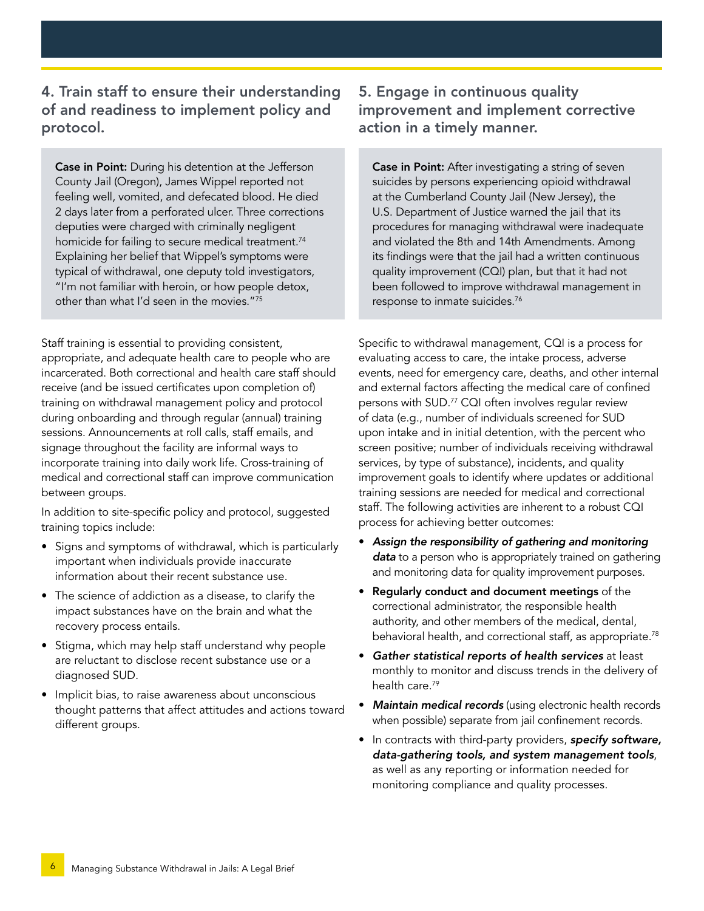4. Train staff to ensure their understanding of and readiness to implement policy and protocol.

**Case in Point:** During his detention at the Jefferson County Jail (Oregon), James Wippel reported not feeling well, vomited, and defecated blood. He died 2 days later from a perforated ulcer. Three corrections deputies were charged with criminally negligent homicide for failing to secure medical treatment.<sup>74</sup> Explaining her belief that Wippel's symptoms were typical of withdrawal, one deputy told investigators, "I'm not familiar with heroin, or how people detox, other than what I'd seen in the movies."75

Staff training is essential to providing consistent, appropriate, and adequate health care to people who are incarcerated. Both correctional and health care staff should receive (and be issued certificates upon completion of) training on withdrawal management policy and protocol during onboarding and through regular (annual) training sessions. Announcements at roll calls, staff emails, and signage throughout the facility are informal ways to incorporate training into daily work life. Cross-training of medical and correctional staff can improve communication between groups.

In addition to site-specific policy and protocol, suggested training topics include:

- Signs and symptoms of withdrawal, which is particularly important when individuals provide inaccurate information about their recent substance use.
- The science of addiction as a disease, to clarify the impact substances have on the brain and what the recovery process entails.
- Stigma, which may help staff understand why people are reluctant to disclose recent substance use or a diagnosed SUD.
- Implicit bias, to raise awareness about unconscious thought patterns that affect attitudes and actions toward different groups.

#### 5. Engage in continuous quality improvement and implement corrective action in a timely manner.

**Case in Point:** After investigating a string of seven suicides by persons experiencing opioid withdrawal at the Cumberland County Jail (New Jersey), the U.S. Department of Justice warned the jail that its procedures for managing withdrawal were inadequate and violated the 8th and 14th Amendments. Among its findings were that the jail had a written continuous quality improvement (CQI) plan, but that it had not been followed to improve withdrawal management in response to inmate suicides.76

Specific to withdrawal management, CQI is a process for evaluating access to care, the intake process, adverse events, need for emergency care, deaths, and other internal and external factors affecting the medical care of confined persons with SUD.77 CQI often involves regular review of data (e.g., number of individuals screened for SUD upon intake and in initial detention, with the percent who screen positive; number of individuals receiving withdrawal services, by type of substance), incidents, and quality improvement goals to identify where updates or additional training sessions are needed for medical and correctional staff. The following activities are inherent to a robust CQI process for achieving better outcomes:

- *Assign the responsibility of gathering and monitoring data* to a person who is appropriately trained on gathering and monitoring data for quality improvement purposes.
- Regularly conduct and document meetings of the correctional administrator, the responsible health authority, and other members of the medical, dental, behavioral health, and correctional staff, as appropriate.<sup>78</sup>
- *Gather statistical reports of health services* at least monthly to monitor and discuss trends in the delivery of health care.<sup>79</sup>
- *Maintain medical records* (using electronic health records when possible) separate from jail confinement records.
- In contracts with third-party providers, *specify software, data-gathering tools, and system management tools*, as well as any reporting or information needed for monitoring compliance and quality processes.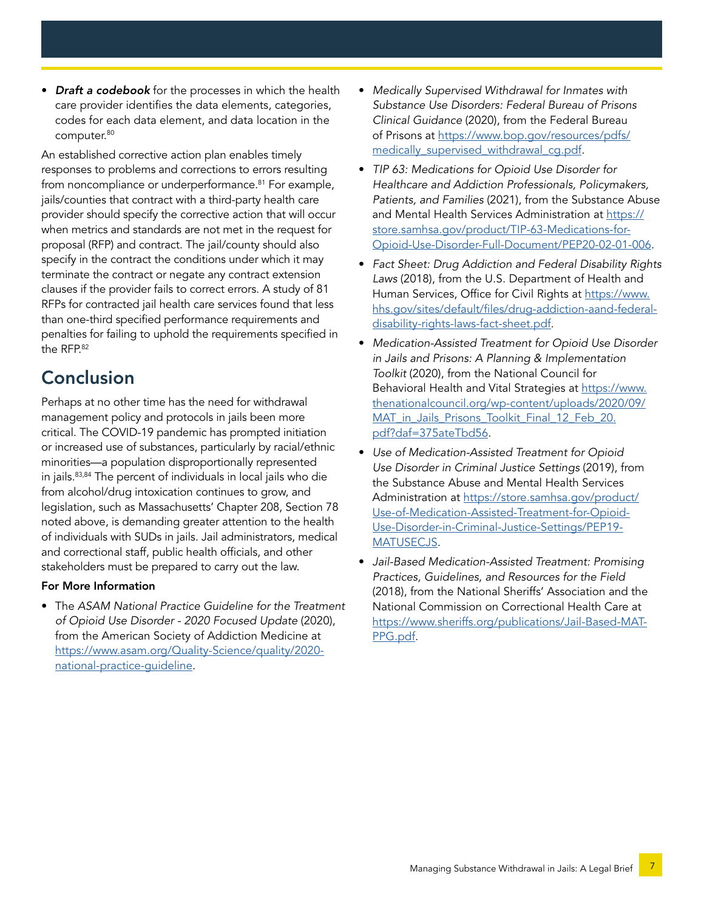• *Draft a codebook* for the processes in which the health care provider identifies the data elements, categories, codes for each data element, and data location in the computer.<sup>80</sup>

An established corrective action plan enables timely responses to problems and corrections to errors resulting from noncompliance or underperformance.<sup>81</sup> For example, jails/counties that contract with a third-party health care provider should specify the corrective action that will occur when metrics and standards are not met in the request for proposal (RFP) and contract. The jail/county should also specify in the contract the conditions under which it may terminate the contract or negate any contract extension clauses if the provider fails to correct errors. A study of 81 RFPs for contracted jail health care services found that less than one-third specified performance requirements and penalties for failing to uphold the requirements specified in the RFP.82

## Conclusion

Perhaps at no other time has the need for withdrawal management policy and protocols in jails been more critical. The COVID-19 pandemic has prompted initiation or increased use of substances, particularly by racial/ethnic minorities—a population disproportionally represented in jails.83,84 The percent of individuals in local jails who die from alcohol/drug intoxication continues to grow, and legislation, such as Massachusetts' Chapter 208, Section 78 noted above, is demanding greater attention to the health of individuals with SUDs in jails. Jail administrators, medical and correctional staff, public health officials, and other stakeholders must be prepared to carry out the law.

#### For More Information

• The *ASAM National Practice Guideline for the Treatment of Opioid Use Disorder - 2020 Focused Update* (2020), from the American Society of Addiction Medicine at [https://www.asam.org/Quality-Science/quality/2020](https://www.asam.org/Quality-Science/quality/2020-national-practice-guideline) [national-practice-guideline](https://www.asam.org/Quality-Science/quality/2020-national-practice-guideline).

- *Medically Supervised Withdrawal for Inmates with Substance Use Disorders: Federal Bureau of Prisons Clinical Guidance* (2020), from the Federal Bureau of Prisons at [https://www.bop.gov/resources/pdfs/](https://www.bop.gov/resources/pdfs/medically_supervised_withdrawal_cg.pdf) [medically\\_supervised\\_withdrawal\\_cg.pdf](https://www.bop.gov/resources/pdfs/medically_supervised_withdrawal_cg.pdf).
- *TIP 63: Medications for Opioid Use Disorder for Healthcare and Addiction Professionals, Policymakers, Patients, and Families* (2021), from the Substance Abuse and Mental Health Services Administration at [https://](https://store.samhsa.gov/product/TIP-63-Medications-for-Opioid-Use-Disorder-Full-Document/PEP20-02-01-006) [store.samhsa.gov/product/TIP-63-Medications-for-](https://store.samhsa.gov/product/TIP-63-Medications-for-Opioid-Use-Disorder-Full-Document/PEP20-02-01-006)[Opioid-Use-Disorder-Full-Document/PEP20-02-01-006.](https://store.samhsa.gov/product/TIP-63-Medications-for-Opioid-Use-Disorder-Full-Document/PEP20-02-01-006)
- *Fact Sheet: Drug Addiction and Federal Disability Rights Laws* (2018), from the U.S. Department of Health and Human Services, Office for Civil Rights at [https://www.](https://www.hhs.gov/sites/default/files/drug-addiction-aand-federal-disability-rights-laws-fact-sheet.pdf) [hhs.gov/sites/default/files/drug-addiction-aand-federal](https://www.hhs.gov/sites/default/files/drug-addiction-aand-federal-disability-rights-laws-fact-sheet.pdf)[disability-rights-laws-fact-sheet.pdf](https://www.hhs.gov/sites/default/files/drug-addiction-aand-federal-disability-rights-laws-fact-sheet.pdf).
- *Medication-Assisted Treatment for Opioid Use Disorder in Jails and Prisons: A Planning & Implementation Toolkit* (2020), from the National Council for Behavioral Health and Vital Strategies at [https://www.](https://www.thenationalcouncil.org/wp-content/uploads/2020/09/MAT_in_Jails_Prisons_Toolkit_Final_12_Feb_20.pdf?daf=375ateTbd56) [thenationalcouncil.org/wp-content/uploads/2020/09/](https://www.thenationalcouncil.org/wp-content/uploads/2020/09/MAT_in_Jails_Prisons_Toolkit_Final_12_Feb_20.pdf?daf=375ateTbd56) [MAT\\_in\\_Jails\\_Prisons\\_Toolkit\\_Final\\_12\\_Feb\\_20.](https://www.thenationalcouncil.org/wp-content/uploads/2020/09/MAT_in_Jails_Prisons_Toolkit_Final_12_Feb_20.pdf?daf=375ateTbd56) [pdf?daf=375ateTbd56.](https://www.thenationalcouncil.org/wp-content/uploads/2020/09/MAT_in_Jails_Prisons_Toolkit_Final_12_Feb_20.pdf?daf=375ateTbd56)
- *Use of Medication-Assisted Treatment for Opioid Use Disorder in Criminal Justice Settings* (2019), from the Substance Abuse and Mental Health Services Administration at [https://store.samhsa.gov/product/](https://store.samhsa.gov/product/Use-of-Medication-Assisted-Treatment-for-Opioid-Use-Disorder-in-Criminal-Justice-Settings/PEP19-MATUSECJS) [Use-of-Medication-Assisted-Treatment-for-Opioid-](https://store.samhsa.gov/product/Use-of-Medication-Assisted-Treatment-for-Opioid-Use-Disorder-in-Criminal-Justice-Settings/PEP19-MATUSECJS)[Use-Disorder-in-Criminal-Justice-Settings/PEP19-](https://store.samhsa.gov/product/Use-of-Medication-Assisted-Treatment-for-Opioid-Use-Disorder-in-Criminal-Justice-Settings/PEP19-MATUSECJS) [MATUSECJS.](https://store.samhsa.gov/product/Use-of-Medication-Assisted-Treatment-for-Opioid-Use-Disorder-in-Criminal-Justice-Settings/PEP19-MATUSECJS)
- *Jail-Based Medication-Assisted Treatment: Promising Practices, Guidelines, and Resources for the Field* (2018), from the National Sheriffs' Association and the National Commission on Correctional Health Care at [https://www.sheriffs.org/publications/Jail-Based-MAT-](https://www.sheriffs.org/publications/Jail-Based-MAT-PPG.pdf)[PPG.pdf](https://www.sheriffs.org/publications/Jail-Based-MAT-PPG.pdf).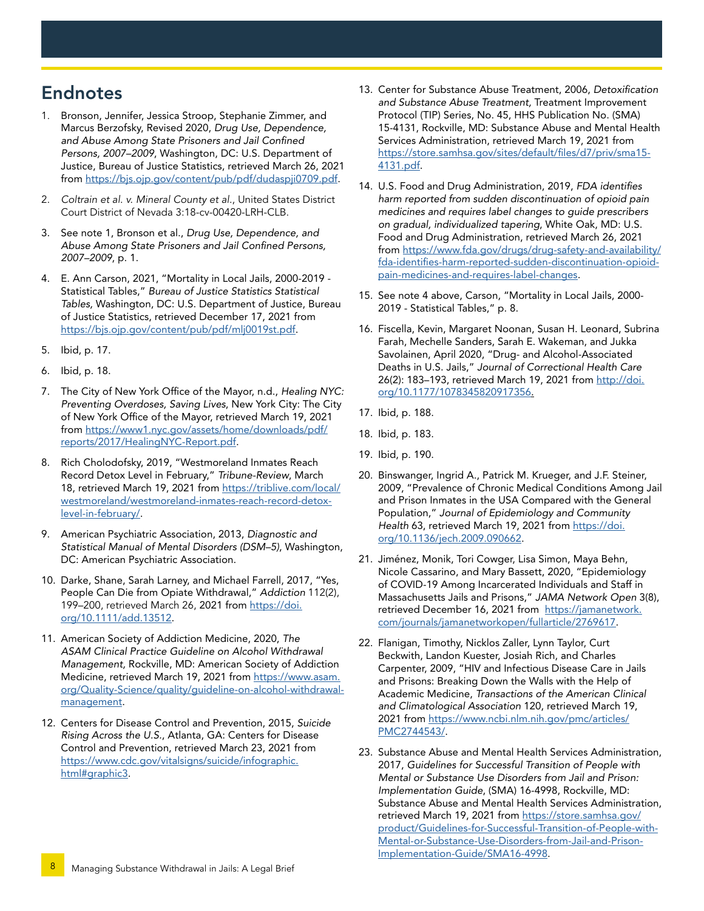## <span id="page-7-0"></span>Endnotes

- 1. Bronson, Jennifer, Jessica Stroop, Stephanie Zimmer, and Marcus Berzofsky, Revised 2020, *Drug Use, Dependence, and Abuse Among State Prisoners and Jail Confined Persons, 2007–2009*, Washington, DC: U.S. Department of Justice, Bureau of Justice Statistics, retrieved March 26, 2021 from [https://bjs.ojp.gov/content/pub/pdf/dudaspji0709.pdf.](https://bjs.ojp.gov/content/pub/pdf/dudaspji0709.pdf)
- 2. *Coltrain et al. v. Mineral County et al.*, United States District Court District of Nevada 3:18-cv-00420-LRH-CLB.
- 3. See note 1, Bronson et al., *Drug Use, Dependence, and Abuse Among State Prisoners and Jail Confined Persons, 2007–2009*, p. 1.
- 4. E. Ann Carson, 2021, "Mortality in Local Jails, 2000-2019 Statistical Tables," *Bureau of Justice Statistics Statistical Tables,* Washington, DC: U.S. Department of Justice, Bureau of Justice Statistics, retrieved December 17, 2021 from <https://bjs.ojp.gov/content/pub/pdf/mlj0019st.pdf>.
- 5. Ibid, p. 17.
- 6. Ibid, p. 18.
- 7. The City of New York Office of the Mayor, n.d., *Healing NYC: Preventing Overdoses, Saving Lives*, New York City: The City of New York Office of the Mayor, retrieved March 19, 2021 from [https://www1.nyc.gov/assets/home/downloads/pdf/](https://www1.nyc.gov/assets/home/downloads/pdf/reports/2017/HealingNYC-Report.pdf) [reports/2017/HealingNYC-Report.pdf](https://www1.nyc.gov/assets/home/downloads/pdf/reports/2017/HealingNYC-Report.pdf).
- 8. Rich Cholodofsky, 2019, "Westmoreland Inmates Reach Record Detox Level in February," *Tribune-Review*, March 18, retrieved March 19, 2021 from [https://triblive.com/local/](https://triblive.com/local/westmoreland/westmoreland-inmates-reach-record-detox-level-in-february/) [westmoreland/westmoreland-inmates-reach-record-detox](https://triblive.com/local/westmoreland/westmoreland-inmates-reach-record-detox-level-in-february/)[level-in-february/.](https://triblive.com/local/westmoreland/westmoreland-inmates-reach-record-detox-level-in-february/)
- 9. American Psychiatric Association, 2013, *Diagnostic and Statistical Manual of Mental Disorders (DSM–5)*, Washington, DC: American Psychiatric Association.
- 10. Darke, Shane, Sarah Larney, and Michael Farrell, 2017, "Yes, People Can Die from Opiate Withdrawal," *Addiction* 112(2), 199-200, retrieved March 26, 2021 from [https://doi.](https://doi.org/10.1111/add.13512) [org/10.1111/add.13512](https://doi.org/10.1111/add.13512).
- 11. American Society of Addiction Medicine, 2020, *The ASAM Clinical Practice Guideline on Alcohol Withdrawal Management,* Rockville, MD: American Society of Addiction Medicine, retrieved March 19, 2021 from [https://www.asam.](https://www.asam.org/Quality-Science/quality/guideline-on-alcohol-withdrawal-management) [org/Quality-Science/quality/guideline-on-alcohol-withdrawal](https://www.asam.org/Quality-Science/quality/guideline-on-alcohol-withdrawal-management)[management](https://www.asam.org/Quality-Science/quality/guideline-on-alcohol-withdrawal-management).
- 12. Centers for Disease Control and Prevention, 2015, *Suicide Rising Across the U.S.*, Atlanta, GA: Centers for Disease Control and Prevention, retrieved March 23, 2021 from [https://www.cdc.gov/vitalsigns/suicide/infographic.](https://www.cdc.gov/vitalsigns/suicide/infographic.html#graphic3) [html#graphic3](https://www.cdc.gov/vitalsigns/suicide/infographic.html#graphic3).
- 13. Center for Substance Abuse Treatment, 2006, *Detoxification and Substance Abuse Treatment,* Treatment Improvement Protocol (TIP) Series, No. 45, HHS Publication No. (SMA) 15-4131, Rockville, MD: Substance Abuse and Mental Health Services Administration, retrieved March 19, 2021 from [https://store.samhsa.gov/sites/default/files/d7/priv/sma15-](https://store.samhsa.gov/sites/default/files/d7/priv/sma15-4131.pdf) [4131.pdf](https://store.samhsa.gov/sites/default/files/d7/priv/sma15-4131.pdf).
- 14. U.S. Food and Drug Administration, 2019, *FDA identifies harm reported from sudden discontinuation of opioid pain medicines and requires label changes to guide prescribers on gradual, individualized tapering*, White Oak, MD: U.S. Food and Drug Administration, retrieved March 26, 2021 from [https://www.fda.gov/drugs/drug-safety-and-availability/](https://www.fda.gov/drugs/drug-safety-and-availability/fda-identifies-harm-reported-sudden-discontinuation-opioid-pain-medicines-and-requires-label-changes) [fda-identifies-harm-reported-sudden-discontinuation-opioid](https://www.fda.gov/drugs/drug-safety-and-availability/fda-identifies-harm-reported-sudden-discontinuation-opioid-pain-medicines-and-requires-label-changes)[pain-medicines-and-requires-label-changes.](https://www.fda.gov/drugs/drug-safety-and-availability/fda-identifies-harm-reported-sudden-discontinuation-opioid-pain-medicines-and-requires-label-changes)
- 15. See note 4 above, Carson, "Mortality in Local Jails, 2000- 2019 - Statistical Tables," p. 8.
- 16. Fiscella, Kevin, Margaret Noonan, Susan H. Leonard, Subrina Farah, Mechelle Sanders, Sarah E. Wakeman, and Jukka Savolainen, April 2020, "Drug- and Alcohol-Associated Deaths in U.S. Jails," *Journal of Correctional Health Care* 26(2): 183-193, retrieved March 19, 2021 from [http://doi.](http://doi.org/10.1177/1078345820917356) [org/10.1177/1078345820917356](http://doi.org/10.1177/1078345820917356).
- 17. Ibid, p. 188.
- 18. Ibid, p. 183.
- 19. Ibid, p. 190.
- 20. Binswanger, Ingrid A., Patrick M. Krueger, and J.F. Steiner, 2009, "Prevalence of Chronic Medical Conditions Among Jail and Prison Inmates in the USA Compared with the General Population," *Journal of Epidemiology and Community Health* 63, retrieved March 19, 2021 from [https://doi.](https://doi.org/10.1136/jech.2009.090662) [org/10.1136/jech.2009.090662.](https://doi.org/10.1136/jech.2009.090662)
- 21. Jiménez, Monik, Tori Cowger, Lisa Simon, Maya Behn, Nicole Cassarino, and Mary Bassett, 2020, "Epidemiology of COVID-19 Among Incarcerated Individuals and Staff in Massachusetts Jails and Prisons," *JAMA Network Open* 3(8), retrieved December 16, 2021 from [https://jamanetwork.](https://jamanetwork.com/journals/jamanetworkopen/fullarticle/2769617) [com/journals/jamanetworkopen/fullarticle/2769617.](https://jamanetwork.com/journals/jamanetworkopen/fullarticle/2769617)
- 22. Flanigan, Timothy, Nicklos Zaller, Lynn Taylor, Curt Beckwith, Landon Kuester, Josiah Rich, and Charles Carpenter, 2009, "HIV and Infectious Disease Care in Jails and Prisons: Breaking Down the Walls with the Help of Academic Medicine, *Transactions of the American Clinical and Climatological Association* 120, retrieved March 19, 2021 from [https://www.ncbi.nlm.nih.gov/pmc/articles/](https://www.ncbi.nlm.nih.gov/pmc/articles/PMC2744543/) [PMC2744543/](https://www.ncbi.nlm.nih.gov/pmc/articles/PMC2744543/).
- 23. Substance Abuse and Mental Health Services Administration, 2017, *Guidelines for Successful Transition of People with Mental or Substance Use Disorders from Jail and Prison: Implementation Guide*, (SMA) 16-4998, Rockville, MD: Substance Abuse and Mental Health Services Administration, retrieved March 19, 2021 from [https://store.samhsa.gov/](https://store.samhsa.gov/product/Guidelines-for-Successful-Transition-of-People-with-Mental-or-Substance-Use-Disorders-from-Jail-and-Prison-Implementation-Guide/SMA16-4998) [product/Guidelines-for-Successful-Transition-of-People-with-](https://store.samhsa.gov/product/Guidelines-for-Successful-Transition-of-People-with-Mental-or-Substance-Use-Disorders-from-Jail-and-Prison-Implementation-Guide/SMA16-4998)[Mental-or-Substance-Use-Disorders-from-Jail-and-Prison-](https://store.samhsa.gov/product/Guidelines-for-Successful-Transition-of-People-with-Mental-or-Substance-Use-Disorders-from-Jail-and-Prison-Implementation-Guide/SMA16-4998)[Implementation-Guide/SMA16-4998](https://store.samhsa.gov/product/Guidelines-for-Successful-Transition-of-People-with-Mental-or-Substance-Use-Disorders-from-Jail-and-Prison-Implementation-Guide/SMA16-4998).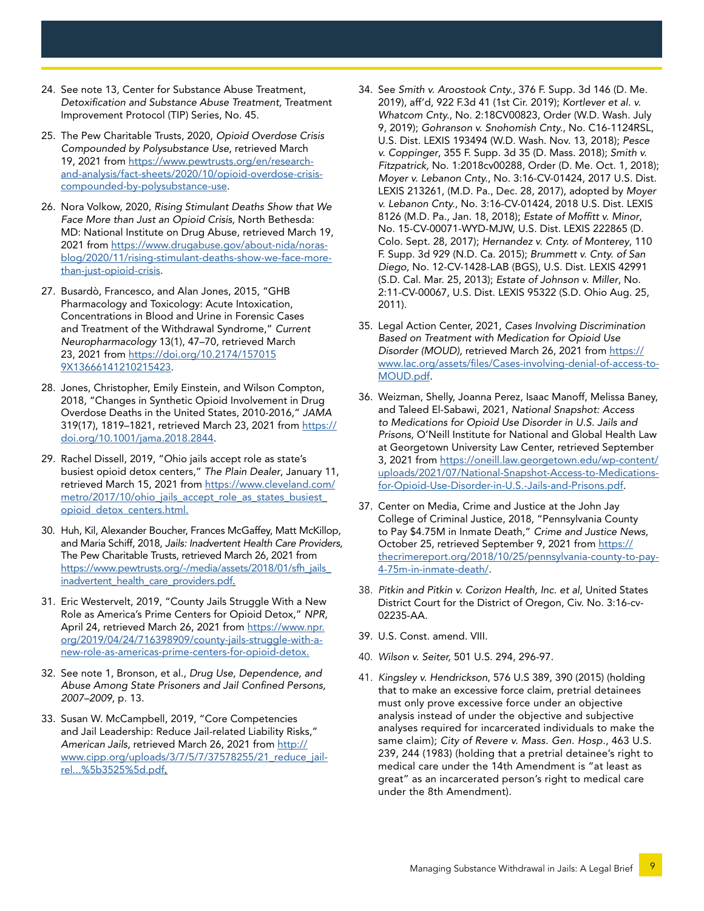- 24. See note 13, Center for Substance Abuse Treatment, *Detoxification and Substance Abuse Treatment,* Treatment Improvement Protocol (TIP) Series, No. 45.
- 25. The Pew Charitable Trusts, 2020, *Opioid Overdose Crisis Compounded by Polysubstance Use*, retrieved March 19, 2021 from [https://www.pewtrusts.org/en/research](https://www.pewtrusts.org/en/research-and-analysis/fact-sheets/2020/10/opioid-overdose-crisis-compounded-by-polysubstance-use)[and-analysis/fact-sheets/2020/10/opioid-overdose-crisis](https://www.pewtrusts.org/en/research-and-analysis/fact-sheets/2020/10/opioid-overdose-crisis-compounded-by-polysubstance-use)[compounded-by-polysubstance-use.](https://www.pewtrusts.org/en/research-and-analysis/fact-sheets/2020/10/opioid-overdose-crisis-compounded-by-polysubstance-use)
- 26. Nora Volkow, 2020, *Rising Stimulant Deaths Show that We Face More than Just an Opioid Crisis,* North Bethesda: MD: National Institute on Drug Abuse, retrieved March 19, 2021 from [https://www.drugabuse.gov/about-nida/noras](https://www.drugabuse.gov/about-nida/noras-blog/2020/11/rising-stimulant-deaths-show-we-face-more-than-just-opioid-crisis)[blog/2020/11/rising-stimulant-deaths-show-we-face-more](https://www.drugabuse.gov/about-nida/noras-blog/2020/11/rising-stimulant-deaths-show-we-face-more-than-just-opioid-crisis)[than-just-opioid-crisis.](https://www.drugabuse.gov/about-nida/noras-blog/2020/11/rising-stimulant-deaths-show-we-face-more-than-just-opioid-crisis)
- 27. Busardò, Francesco, and Alan Jones, 2015, "GHB Pharmacology and Toxicology: Acute Intoxication, Concentrations in Blood and Urine in Forensic Cases and Treatment of the Withdrawal Syndrome," *Current Neuropharmacology* 13(1), 47–70, retrieved March 23, 2021 from [https://doi.org/10.2174/157015](https://doi.org/10.2174/1570159X13666141210215423) [9X13666141210215423.](https://doi.org/10.2174/1570159X13666141210215423)
- 28. Jones, Christopher, Emily Einstein, and Wilson Compton, 2018, "Changes in Synthetic Opioid Involvement in Drug Overdose Deaths in the United States, 2010-2016," *JAMA* 319(17), 1819-1821, retrieved March 23, 2021 from [https://](https://doi.org/10.1001/jama.2018.2844) [doi.org/10.1001/jama.2018.2844.](https://doi.org/10.1001/jama.2018.2844)
- 29. Rachel Dissell, 2019, "Ohio jails accept role as state's busiest opioid detox centers," *The Plain Dealer*, January 11, retrieved March 15, 2021 from [https://www.cleveland.com/](https://www.cleveland.com/metro/2017/10/ohio_jails_accept_role_as_states_busiest_opioid_detox_centers.html) [metro/2017/10/ohio\\_jails\\_accept\\_role\\_as\\_states\\_busiest\\_](https://www.cleveland.com/metro/2017/10/ohio_jails_accept_role_as_states_busiest_opioid_detox_centers.html) [opioid\\_detox\\_centers.html.](https://www.cleveland.com/metro/2017/10/ohio_jails_accept_role_as_states_busiest_opioid_detox_centers.html)
- 30. Huh, Kil, Alexander Boucher, Frances McGaffey, Matt McKillop, and Maria Schiff, 2018, *Jails: Inadvertent Health Care Providers*, The Pew Charitable Trusts, retrieved March 26, 2021 from https://www.pewtrusts.org/-/media/assets/2018/01/sfh\_jails [inadvertent\\_health\\_care\\_providers.pdf](https://www.pewtrusts.org/-/media/assets/2018/01/sfh_jails_inadvertent_health_care_providers.pdf).
- 31. Eric Westervelt, 2019, "County Jails Struggle With a New Role as America's Prime Centers for Opioid Detox," *NPR,*  April 24, retrieved March 26, 2021 from [https://www.npr.](https://www.npr.org/2019/04/24/716398909/county-jails-struggle-with-a-new-role-as-americas-prime-centers-for-opioid-detox) [org/2019/04/24/716398909/county-jails-struggle-with-a](https://www.npr.org/2019/04/24/716398909/county-jails-struggle-with-a-new-role-as-americas-prime-centers-for-opioid-detox)[new-role-as-americas-prime-centers-for-opioid-detox.](https://www.npr.org/2019/04/24/716398909/county-jails-struggle-with-a-new-role-as-americas-prime-centers-for-opioid-detox)
- 32. See note 1, Bronson, et al., *Drug Use, Dependence, and Abuse Among State Prisoners and Jail Confined Persons, 2007–2009*, p. 13.
- 33. Susan W. McCampbell, 2019, "Core Competencies and Jail Leadership: Reduce Jail-related Liability Risks," *American Jails,* retrieved March 26, 2021 from [http://](http://www.cipp.org/uploads/3/7/5/7/37578255/21_reduce_jail-rel...%5b3525%5d.pdf) [www.cipp.org/uploads/3/7/5/7/37578255/21\\_reduce\\_jail](http://www.cipp.org/uploads/3/7/5/7/37578255/21_reduce_jail-rel...%5b3525%5d.pdf)[rel...%5b3525%5d.pdf](http://www.cipp.org/uploads/3/7/5/7/37578255/21_reduce_jail-rel...%5b3525%5d.pdf).
- 34. See *Smith v. Aroostook Cnty.*, 376 F. Supp. 3d 146 (D. Me. 2019), aff'd, 922 F.3d 41 (1st Cir. 2019); *Kortlever et al. v. Whatcom Cnty.*, No. 2:18CV00823, Order (W.D. Wash. July 9, 2019); *Gohranson v. Snohomish Cnty.*, No. C16-1124RSL, U.S. Dist. LEXIS 193494 (W.D. Wash. Nov. 13, 2018); *Pesce v. Coppinger*, 355 F. Supp. 3d 35 (D. Mass. 2018); *Smith v. Fitzpatrick,* No. 1:2018cv00288, Order (D. Me. Oct. 1, 2018); *Moyer v. Lebanon Cnty.*, No. 3:16-CV-01424, 2017 U.S. Dist. LEXIS 213261, (M.D. Pa., Dec. 28, 2017), adopted by *Moyer v. Lebanon Cnty.*, No. 3:16-CV-01424, 2018 U.S. Dist. LEXIS 8126 (M.D. Pa., Jan. 18, 2018); *Estate of Moffitt v. Minor*, No. 15-CV-00071-WYD-MJW, U.S. Dist. LEXIS 222865 (D. Colo. Sept. 28, 2017); *Hernandez v. Cnty. of Monterey*, 110 F. Supp. 3d 929 (N.D. Ca. 2015); *Brummett v. Cnty. of San Diego*, No. 12-CV-1428-LAB (BGS), U.S. Dist. LEXIS 42991 (S.D. Cal. Mar. 25, 2013); *Estate of Johnson v. Miller*, No. 2:11-CV-00067, U.S. Dist. LEXIS 95322 (S.D. Ohio Aug. 25, 2011).
- 35. Legal Action Center, 2021, *Cases Involving Discrimination Based on Treatment with Medication for Opioid Use Disorder (MOUD)*, retrieved March 26, 2021 from [https://](https://www.lac.org/assets/files/Cases-involving-denial-of-access-to-MOUD.pdf) [www.lac.org/assets/files/Cases-involving-denial-of-access-to-](https://www.lac.org/assets/files/Cases-involving-denial-of-access-to-MOUD.pdf)[MOUD.pdf](https://www.lac.org/assets/files/Cases-involving-denial-of-access-to-MOUD.pdf).
- 36. Weizman, Shelly, Joanna Perez, Isaac Manoff, Melissa Baney, and Taleed El-Sabawi, 2021, *National Snapshot: Access to Medications for Opioid Use Disorder in U.S. Jails and Prisons*, O'Neill Institute for National and Global Health Law at Georgetown University Law Center, retrieved September 3, 2021 from [https://oneill.law.georgetown.edu/wp-content/](https://oneill.law.georgetown.edu/wp-content/uploads/2021/07/National-Snapshot-Access-to-Medications-for-Opioid-Use-Disorder-in-U.S.-Jails-and-Prisons.pdf) [uploads/2021/07/National-Snapshot-Access-to-Medications](https://oneill.law.georgetown.edu/wp-content/uploads/2021/07/National-Snapshot-Access-to-Medications-for-Opioid-Use-Disorder-in-U.S.-Jails-and-Prisons.pdf)[for-Opioid-Use-Disorder-in-U.S.-Jails-and-Prisons.pdf](https://oneill.law.georgetown.edu/wp-content/uploads/2021/07/National-Snapshot-Access-to-Medications-for-Opioid-Use-Disorder-in-U.S.-Jails-and-Prisons.pdf).
- 37. Center on Media, Crime and Justice at the John Jay College of Criminal Justice, 2018, "Pennsylvania County to Pay \$4.75M in Inmate Death," *Crime and Justice News*, October 25, retrieved September 9, 2021 from [https://](https://thecrimereport.org/2018/10/25/pennsylvania-county-to-pay-4-75m-in-inmate-death/) [thecrimereport.org/2018/10/25/pennsylvania-county-to-pay-](https://thecrimereport.org/2018/10/25/pennsylvania-county-to-pay-4-75m-in-inmate-death/)[4-75m-in-inmate-death/](https://thecrimereport.org/2018/10/25/pennsylvania-county-to-pay-4-75m-in-inmate-death/).
- 38. *Pitkin and Pitkin v. Corizon Health, Inc. et al*, United States District Court for the District of Oregon, Civ. No. 3:16-cv-02235-AA.
- 39. U.S. Const. amend. VIII.
- 40. *Wilson v. Seiter,* 501 U.S. 294, 296-97.
- 41. *Kingsley v. Hendrickson*, 576 U.S 389, 390 (2015) (holding that to make an excessive force claim, pretrial detainees must only prove excessive force under an objective analysis instead of under the objective and subjective analyses required for incarcerated individuals to make the same claim); *City of Revere v. Mass. Gen. Hosp.*, 463 U.S. 239, 244 (1983) (holding that a pretrial detainee's right to medical care under the 14th Amendment is "at least as great" as an incarcerated person's right to medical care under the 8th Amendment).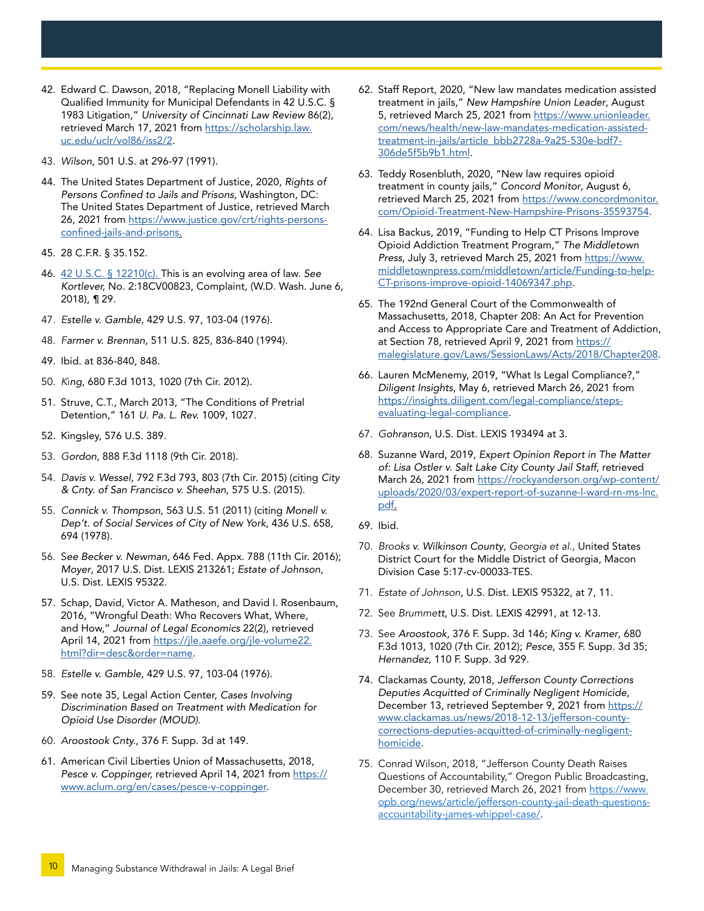- 42. Edward C. Dawson, 2018, "Replacing Monell Liability with Qualified Immunity for Municipal Defendants in 42 U.S.C. § 1983 Litigation," *University of Cincinnati Law Review* 86(2), retrieved March 17, 2021 from [https://scholarship.law.](https://scholarship.law.uc.edu/uclr/vol86/iss2/2) [uc.edu/uclr/vol86/iss2/2](https://scholarship.law.uc.edu/uclr/vol86/iss2/2).
- 43. *Wilson*, 501 U.S. at 296-97 (1991).
- 44. The United States Department of Justice, 2020, *Rights of Persons Confined to Jails and Prisons*, Washington, DC: The United States Department of Justice, retrieved March 26, 2021 from [https://www.justice.gov/crt/rights-persons](https://www.justice.gov/crt/rights-persons-confined-jails-and-prisons)[confined-jails-and-prisons](https://www.justice.gov/crt/rights-persons-confined-jails-and-prisons).
- 45. 28 C.F.R. § 35.152.
- 46. [42 U.S.C. § 12210\(c\)](https://www.law.cornell.edu/uscode/text/42/12210). This is an evolving area of law. *See Kortlever,* No. 2:18CV00823, Complaint, (W.D. Wash. June 6, 2018), ¶ 29.
- 47. *Estelle v. Gamble*, 429 U.S. 97, 103-04 (1976).
- 48. *Farmer v. Brennan*, 511 U.S. 825, 836-840 (1994).
- 49. Ibid. at 836-840, 848.
- 50. *K*i*ng*, 680 F.3d 1013, 1020 (7th Cir. 2012).
- 51. Struve, C.T., March 2013, "The Conditions of Pretrial Detention," 161 *U. Pa. L. Rev.* 1009, 1027.
- 52. Kingsley, 576 U.S. 389.
- 53. *Gordon*, 888 F.3d 1118 (9th Cir. 2018).
- 54. *Davis v. Wessel*, 792 F.3d 793, 803 (7th Cir. 2015) (citing *City & Cnty. of San Francisco v. Sheehan*, 575 U.S. (2015).
- 55. *Connick v. Thompson*, 563 U.S. 51 (2011) (citing *Monell v. Dep't. of Social Services of City of New York*, 436 U.S. 658, 694 (1978).
- 56. S*ee Becker v. Newman*, 646 Fed. Appx. 788 (11th Cir. 2016); *Moyer*, 2017 U.S. Dist. LEXIS 213261; *Estate of Johnson*, U.S. Dist. LEXIS 95322.
- 57. Schap, David, Victor A. Matheson, and David I. Rosenbaum, 2016, "Wrongful Death: Who Recovers What, Where, and How," *Journal of Legal Economics* 22(2), retrieved April 14, 2021 from [https://jle.aaefe.org/jle-volume22.](https://jle.aaefe.org/jle-volume22.html?dir=desc&order=name) [html?dir=desc&order=name.](https://jle.aaefe.org/jle-volume22.html?dir=desc&order=name)
- 58. *Estelle v. Gamble*, 429 U.S. 97, 103-04 (1976).
- 59. See note 35, Legal Action Center, *Cases Involving Discrimination Based on Treatment with Medication for Opioid Use Disorder (MOUD)*.
- 60. *Aroostook Cnty.*, 376 F. Supp. 3d at 149.
- 61. American Civil Liberties Union of Massachusetts, 2018, Pesce v. Coppinger, retrieved April 14, 2021 from [https://](https://www.aclum.org/en/cases/pesce-v-coppinger) [www.aclum.org/en/cases/pesce-v-coppinger.](https://www.aclum.org/en/cases/pesce-v-coppinger)
- 62. Staff Report, 2020, "New law mandates medication assisted treatment in jails," *New Hampshire Union Leader*, August 5, retrieved March 25, 2021 from [https://www.unionleader.](https://www.unionleader.com/news/health/new-law-mandates-medication-assisted-treatment-in-jails/article_bbb2728a-9a25-530e-bdf7-306de5f5b9b1.html) [com/news/health/new-law-mandates-medication-assisted](https://www.unionleader.com/news/health/new-law-mandates-medication-assisted-treatment-in-jails/article_bbb2728a-9a25-530e-bdf7-306de5f5b9b1.html)[treatment-in-jails/article\\_bbb2728a-9a25-530e-bdf7-](https://www.unionleader.com/news/health/new-law-mandates-medication-assisted-treatment-in-jails/article_bbb2728a-9a25-530e-bdf7-306de5f5b9b1.html) [306de5f5b9b1.html.](https://www.unionleader.com/news/health/new-law-mandates-medication-assisted-treatment-in-jails/article_bbb2728a-9a25-530e-bdf7-306de5f5b9b1.html)
- 63. Teddy Rosenbluth, 2020, "New law requires opioid treatment in county jails," *Concord Monitor*, August 6, retrieved March 25, 2021 from [https://www.concordmonitor.](https://www.concordmonitor.com/Opioid-Treatment-New-Hampshire-Prisons-35593754) [com/Opioid-Treatment-New-Hampshire-Prisons-35593754.](https://www.concordmonitor.com/Opioid-Treatment-New-Hampshire-Prisons-35593754)
- 64. Lisa Backus, 2019, "Funding to Help CT Prisons Improve Opioid Addiction Treatment Program," *The Middletown Press*, July 3, retrieved March 25, 2021 from [https://www.](https://www.middletownpress.com/middletown/article/Funding-to-help-CT-prisons-improve-opioid-14069347.php) [middletownpress.com/middletown/article/Funding-to-help-](https://www.middletownpress.com/middletown/article/Funding-to-help-CT-prisons-improve-opioid-14069347.php)[CT-prisons-improve-opioid-14069347.php.](https://www.middletownpress.com/middletown/article/Funding-to-help-CT-prisons-improve-opioid-14069347.php)
- 65. The 192nd General Court of the Commonwealth of Massachusetts, 2018, Chapter 208: An Act for Prevention and Access to Appropriate Care and Treatment of Addiction, at Section 78, retrieved April 9, 2021 from [https://](https://malegislature.gov/Laws/SessionLaws/Acts/2018/Chapter208) [malegislature.gov/Laws/SessionLaws/Acts/2018/Chapter208](https://malegislature.gov/Laws/SessionLaws/Acts/2018/Chapter208).
- 66. Lauren McMenemy, 2019, "What Is Legal Compliance?," *Diligent Insights*, May 6, retrieved March 26, 2021 from [https://insights.diligent.com/legal-compliance/steps](https://insights.diligent.com/legal-compliance/steps-evaluating-legal-compliance)[evaluating-legal-compliance](https://insights.diligent.com/legal-compliance/steps-evaluating-legal-compliance).
- 67. *Gohranson*, U.S. Dist. LEXIS 193494 at 3.
- 68. Suzanne Ward, 2019, *Expert Opinion Report in The Matter of: Lisa Ostler v. Salt Lake City County Jail Staff*, retrieved March 26, 2021 from [https://rockyanderson.org/wp-content/](https://rockyanderson.org/wp-content/uploads/2020/03/expert-report-of-suzanne-l-ward-rn-ms-lnc.pdf) [uploads/2020/03/expert-report-of-suzanne-l-ward-rn-ms-lnc.](https://rockyanderson.org/wp-content/uploads/2020/03/expert-report-of-suzanne-l-ward-rn-ms-lnc.pdf) [pdf.](https://rockyanderson.org/wp-content/uploads/2020/03/expert-report-of-suzanne-l-ward-rn-ms-lnc.pdf)
- 69. Ibid.
- 70. *Brooks v. Wilkinson County*, *Georgia et al.,* United States District Court for the Middle District of Georgia, Macon Division Case 5:17-cv-00033-TES.
- 71. *Estate of Johnson*, U.S. Dist. LEXIS 95322, at 7, 11.
- 72. See *Brummett*, U.S. Dist. LEXIS 42991, at 12-13.
- 73. See *Aroostook*, 376 F. Supp. 3d 146; *King v. Kramer*, 680 F.3d 1013, 1020 (7th Cir. 2012); *Pesce*, 355 F. Supp. 3d 35; *Hernandez*, 110 F. Supp. 3d 929.
- 74. Clackamas County, 2018, *Jefferson County Corrections Deputies Acquitted of Criminally Negligent Homicide*, December 13, retrieved September 9, 2021 from [https://](https://www.clackamas.us/news/2018-12-13/jefferson-county-corrections-deputies-acquitted-of-criminally-negligent-homicide) [www.clackamas.us/news/2018-12-13/jefferson-county](https://www.clackamas.us/news/2018-12-13/jefferson-county-corrections-deputies-acquitted-of-criminally-negligent-homicide)[corrections-deputies-acquitted-of-criminally-negligent](https://www.clackamas.us/news/2018-12-13/jefferson-county-corrections-deputies-acquitted-of-criminally-negligent-homicide)[homicide](https://www.clackamas.us/news/2018-12-13/jefferson-county-corrections-deputies-acquitted-of-criminally-negligent-homicide).
- 75. Conrad Wilson, 2018, "Jefferson County Death Raises Questions of Accountability," Oregon Public Broadcasting, December 30, retrieved March 26, 2021 from [https://www.](https://www.opb.org/news/article/jefferson-county-jail-death-questions-accountability-james-whippel-case/) [opb.org/news/article/jefferson-county-jail-death-questions](https://www.opb.org/news/article/jefferson-county-jail-death-questions-accountability-james-whippel-case/)[accountability-james-whippel-case/.](https://www.opb.org/news/article/jefferson-county-jail-death-questions-accountability-james-whippel-case/)